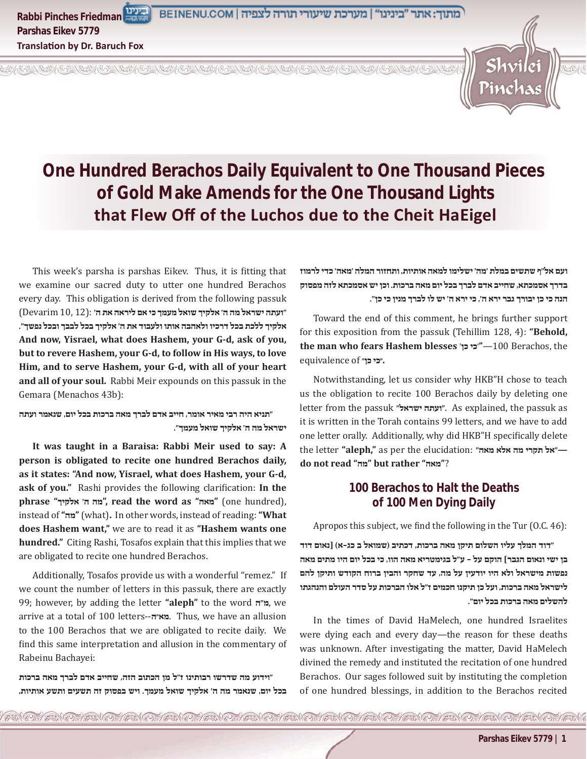

# **One Hundred Berachos Daily Equivalent to One Thousand Pieces of Gold Make Amends for the One Thousand Lights that Flew Off of the Luchos due to the Cheit HaEigel**

EN OF EN OF EN OF EN OF EN OF EN OF EN OF EN OF EN OF EN OF ENOTHER OF ENOTHER OF ENOTHER

This week's parsha is parshas Eikev. Thus, it is fitting that we examine our sacred duty to utter one hundred Berachos every day. This obligation is derived from the following passuk **"ועתה ישראל מה ה' אלקיך שואל מעמך כי אם ליראה את ה'** :(12 10, Devarim( **אלקיך ללכת בכל דרכיו ולאהבה אותו ולעבוד את ה' אלקיך בכל לבבך ובכל נפשך". And now, Yisrael, what does Hashem, your G-d, ask of you, but to revere Hashem, your G-d, to follow in His ways, to love Him, and to serve Hashem, your G-d, with all of your heart and all of your soul.** Rabbi Meir expounds on this passuk in the Gemara (Menachos 43b):

**"תניא היה רבי מאיר אומר, חייב אדם לברך מאה ברכות בכל יום, שנאמר ועתה ישראל מה ה' אלקיך שואל מעמך".**

**It was taught in a Baraisa: Rabbi Meir used to say: A person is obligated to recite one hundred Berachos daily, as it states: "And now, Yisrael, what does Hashem, your G-d, ask of you."** Rashi provides the following clarification: **In the phrase "אלקיך' ה מה", read the word as "מאה**) **"**one hundred), instead of **"מה**) **"**what)**.** In other words, instead of reading: **"What does Hashem want,"** we are to read it as **"Hashem wants one hundred."** Citing Rashi, Tosafos explain that this implies that we are obligated to recite one hundred Berachos.

Additionally, Tosafos provide us with a wonderful "remez." If we count the number of letters in this passuk, there are exactly 99; however, by adding the letter **"aleph"** to the word **ה"מ**, we arrive at a total of 100 letters--**מא״ה**. Thus, we have an allusion to the 100 Berachos that we are obligated to recite daily. We find this same interpretation and allusion in the commentary of Rabeinu Bachayei:

**"וידוע מה שדרשו רבותינו ז"ל מן הכתוב הזה, שחייב אדם לברך מאה ברכות בכל יום, שנאמר מה ה' אלקיך שואל מעמך. ויש בפסוק זה תשעים ותשע אותיות,**  **ועם אל"ף שתשים במלת 'מה' ישלימו למאה אותיות, ותחזור המלה 'מאה' כדי לרמוז בדרך אסמכתא, שחייב אדם לברך בכל יום מאה ברכות. וכן יש אסמכתא לזה מפסוק הנה כי כן יבורך גבר ירא ה', כי ירא ה' יש לו לברך מנין כי כן".**

Toward the end of this comment, he brings further support for this exposition from the passuk (Tehillim 128, 4): **"Behold, the man who fears Hashem blesses כן׳ ׳כי**—**"**100 Berachos, the **equivalence of "כי כן"** 

Notwithstanding, let us consider why HKB"H chose to teach us the obligation to recite 100 Berachos daily by deleting one letter from the passuk "יעתה ישראל". As explained, the passuk as it is written in the Torah contains 99 letters, and we have to add one letter orally. Additionally, why did HKB"H specifically delete the letter **"aleph,"** as per the elucidation: **"מאה אלא מה תקרי אל—" do not read "מה "but rather "מאה** ?**"**

## **100 Berachos to Halt the Deaths of 100 Men Dying Daily**

Apropos this subject, we find the following in the Tur (O.C. 46):

**"דוד המלך עליו השלום תיקן מאה ברכות, דכתיב )שמואל ב כג-א( ]נאום דוד בן ישי ונאום הגבר[ הוקם על - ע"ל בגימטריא מאה הוו, כי בכל יום היו מתים מאה נפשות מישראל ולא היו יודעין על מה, עד שחקר והבין ברוח הקודש ותיקן להם לישראל מאה ברכות, ועל כן תיקנו חכמים ז"ל אלו הברכות על סדר העולם והנהגתו להשלים מאה ברכות בכל יום".**

In the times of David HaMelech, one hundred Israelites were dying each and every day—the reason for these deaths was unknown. After investigating the matter, David HaMelech divined the remedy and instituted the recitation of one hundred Berachos. Our sages followed suit by instituting the completion of one hundred blessings, in addition to the Berachos recited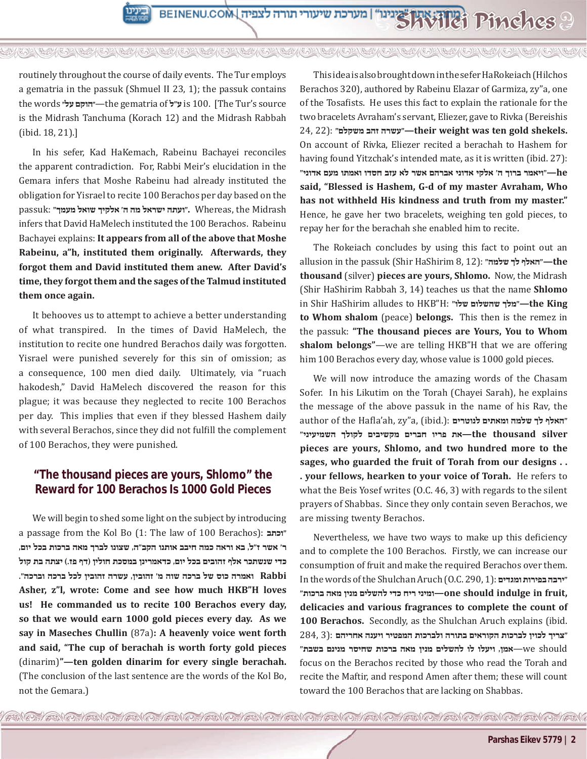

AN OF AN OF AN OF AN OF AN OF AN OF AN OF AN OF AN OF AN OF AN OF AN OF AN OF AN OF

routinely throughout the course of daily events. The Tur employs a gematria in the passuk (Shmuel II 23, 1); the passuk contains the words **על״ ״הוקם**—the gematria of **ל"ע** is 100. [The Tur's source is the Midrash Tanchuma (Korach 12) and the Midrash Rabbah (ibid. 18, 21).]

In his sefer, Kad HaKemach, Rabeinu Bachayei reconciles the apparent contradiction. For, Rabbi Meir's elucidation in the Gemara infers that Moshe Rabeinu had already instituted the obligation for Yisrael to recite 100 Berachos per day based on the Midrash the ,Whereas **."ועתה ישראל מה ה' אלקיך שואל מעמך"** :passuk infers that David HaMelech instituted the 100 Berachos. Rabeinu Bachayei explains: **It appears from all of the above that Moshe Rabeinu, a"h, instituted them originally. Afterwards, they forgot them and David instituted them anew. After David's time, they forgot them and the sages of the Talmud instituted them once again.** 

It behooves us to attempt to achieve a better understanding of what transpired. In the times of David HaMelech, the institution to recite one hundred Berachos daily was forgotten. Yisrael were punished severely for this sin of omission; as a consequence, 100 men died daily. Ultimately, via "ruach hakodesh," David HaMelech discovered the reason for this plague; it was because they neglected to recite 100 Berachos per day. This implies that even if they blessed Hashem daily with several Berachos, since they did not fulfill the complement of 100 Berachos, they were punished.

# **"The thousand pieces are yours, Shlomo" the Reward for 100 Berachos Is 1000 Gold Pieces**

We will begin to shed some light on the subject by introducing a passage from the Kol Bo (1: The law of 100 Berachos): **וכתב" ר' אשר ז"ל, בא וראה כמה חיבב אותנו הקב"ה, שצונו לברך מאה ברכות בכל יום, כדי שנשתכר אלף זהובים בכל יום, כדאמרינן במסכת חולין )דף פז.( יצתה בת קול Rabbi ואמרה כוס של ברכה שוה מ' זהובין, עשרה זהובין לכל ברכה וברכה". Asher, z"l, wrote: Come and see how much HKB"H loves us! He commanded us to recite 100 Berachos every day, so that we would earn 1000 gold pieces every day. As we say in Maseches Chullin** (87a)**: A heavenly voice went forth and said, "The cup of berachah is worth forty gold pieces**  (dinarim)**"—ten golden dinarim for every single berachah.**  (The conclusion of the last sentence are the words of the Kol Bo, not the Gemara.)

This idea is also brought down in the sefer HaRokeiach (Hilchos Berachos 320), authored by Rabeinu Elazar of Garmiza, zy"a, one of the Tosafists. He uses this fact to explain the rationale for the two bracelets Avraham's servant, Eliezer, gave to Rivka (Bereishis 24, 22): **"משקלם זהב עשרה—"their weight was ten gold shekels.**  On account of Rivka, Eliezer recited a berachah to Hashem for having found Yitzchak's intended mate, as it is written (ibid. 27):  **he"—ויאמר ברוך ה' אלקי אדוני אברהם אשר לא עזב חסדו ואמתו מעם אדוני" said, "Blessed is Hashem, G-d of my master Avraham, Who has not withheld His kindness and truth from my master."**  Hence, he gave her two bracelets, weighing ten gold pieces, to repay her for the berachah she enabled him to recite.

The Rokeiach concludes by using this fact to point out an allusion in the passuk (Shir HaShirim 8, 12): **"שלמה לך האלף—"the thousand** (silver) **pieces are yours, Shlomo.** Now, the Midrash (Shir HaShirim Rabbah 3, 14) teaches us that the name **Shlomo**  in Shir HaShirim alludes to HKB"H: **"שלו שהשלום מלך—"the King to Whom shalom** (peace) **belongs.** This then is the remez in the passuk: **"The thousand pieces are Yours, You to Whom shalom belongs"**—we are telling HKB"H that we are offering him 100 Berachos every day, whose value is 1000 gold pieces.

We will now introduce the amazing words of the Chasam Sofer. In his Likutim on the Torah (Chayei Sarah), he explains the message of the above passuk in the name of his Rav, the author of the Hafla'ah, zy"a, (ibid.): **לנוטרים ומאתים שלמה לך האלף" silver thousand the—את פריו חברים מקשיבים לקולך השמיעיני" pieces are yours, Shlomo, and two hundred more to the sages, who guarded the fruit of Torah from our designs . . . your fellows, hearken to your voice of Torah.** He refers to what the Beis Yosef writes (O.C. 46, 3) with regards to the silent prayers of Shabbas. Since they only contain seven Berachos, we are missing twenty Berachos.

Nevertheless, we have two ways to make up this deficiency and to complete the 100 Berachos. Firstly, we can increase our consumption of fruit and make the required Berachos over them. In the words of the Shulchan Aruch (O.C. 290, 1): **ומגדים בפירות ירבה" ,fruit in indulge should one—ומיני ריח כדי להשלים מנין מאה ברכות" delicacies and various fragrances to complete the count of 100 Berachos.** Secondly, as the Shulchan Aruch explains (ibid. **"צריך לכוין לברכות הקוראים בתורה ולברכות המפטיר ויענה אחריהם** :(3 284, should we—**אמן, ויעלו לו להשלים מנין מאה ברכות שחיסר מנינם בשבת"** focus on the Berachos recited by those who read the Torah and recite the Maftir, and respond Amen after them; these will count toward the 100 Berachos that are lacking on Shabbas.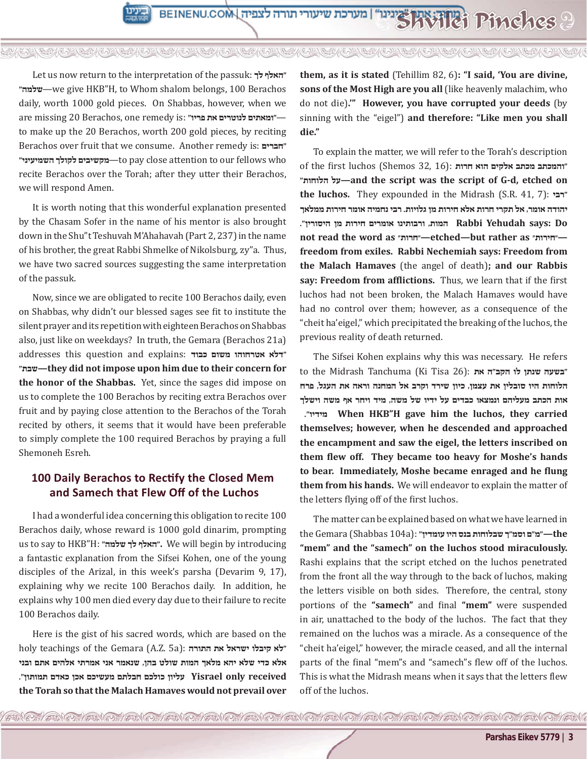AN OF AN OF AN OF AN OF AN OF AN OF AN OF AN OF AN OF AN OF AN OF AN OF AN OF AN OF

Let us now return to the interpretation of the passuk: **לך האלף" "שלמה**—we give HKB"H, to Whom shalom belongs, 100 Berachos daily, worth 1000 gold pieces. On Shabbas, however, when we are missing 20 Berachos, one remedy is: **"פריו את לנוטרים ומאתים**—**"** to make up the 20 Berachos, worth 200 gold pieces, by reciting Berachos over fruit that we consume. Another remedy is: **חברים" "השמיעיני לקולך מקשיבים**—to pay close attention to our fellows who recite Berachos over the Torah; after they utter their Berachos, we will respond Amen.

It is worth noting that this wonderful explanation presented by the Chasam Sofer in the name of his mentor is also brought down in the Shu"t Teshuvah M'Ahahavah (Part 2, 237) in the name of his brother, the great Rabbi Shmelke of Nikolsburg, zy"a. Thus, we have two sacred sources suggesting the same interpretation of the passuk.

Now, since we are obligated to recite 100 Berachos daily, even on Shabbas, why didn't our blessed sages see fit to institute the silent prayer and its repetition with eighteen Berachos on Shabbas also, just like on weekdays? In truth, the Gemara (Berachos 21a) addresses this question and explains: **כבוד משום אטרחוהו דלא" "שבת—they did not impose upon him due to their concern for the honor of the Shabbas.** Yet, since the sages did impose on us to complete the 100 Berachos by reciting extra Berachos over fruit and by paying close attention to the Berachos of the Torah recited by others, it seems that it would have been preferable to simply complete the 100 required Berachos by praying a full Shemoneh Esreh.

#### **100 Daily Berachos to Rectify the Closed Mem and Samech that Flew Off of the Luchos**

I had a wonderful idea concerning this obligation to recite 100 Berachos daily, whose reward is 1000 gold dinarim, prompting us to say to HKB"H: **"שלמה לך האלף".** We will begin by introducing a fantastic explanation from the Sifsei Kohen, one of the young disciples of the Arizal, in this week's parsha (Devarim 9, 17), explaining why we recite 100 Berachos daily. In addition, he explains why 100 men died every day due to their failure to recite 100 Berachos daily.

Here is the gist of his sacred words, which are based on the holy teachings of the Gemara (A.Z. 5a): **התורה את ישראל קיבלו לא" אלא כדי שלא יהא מלאך המות שולט בהן, שנאמר אני אמרתי אלהים אתם ובני received only Yisrael עליון כולכם חבלתם מעשיכם אכן כאדם תמותון". the Torah so that the Malach Hamaves would not prevail over**  **them, as it is stated** (Tehillim 82, 6)**: "I said, 'You are divine, sons of the Most High are you all** (like heavenly malachim, who do not die)**.'" However, you have corrupted your deeds** (by sinning with the "eigel") **and therefore: "Like men you shall die."** 

To explain the matter, we will refer to the Torah's description **"והמכתב מכתב אלקים הוא חרות** :(16 32, Shemos (luchos first the of **"הלוחות על—and the script was the script of G-d, etched on the luchos.** They expounded in the Midrash (S.R. 41, 7): **רבי" יהודה אומר, אל תקרי חרות אלא חירות מן גלויות. רבי נחמיה אומר חירות ממלאך Do :says Yehudah Rabbi המות, ורבותינו אומרים חירות מן היסורין". not read the word as ״חרות״—etched—but rather as ״חירות״ freedom from exiles. Rabbi Nechemiah says: Freedom from the Malach Hamaves** (the angel of death)**; and our Rabbis say: Freedom from afflictions.** Thus, we learn that if the first luchos had not been broken, the Malach Hamaves would have had no control over them; however, as a consequence of the "cheit ha'eigel," which precipitated the breaking of the luchos, the previous reality of death returned.

The Sifsei Kohen explains why this was necessary. He refers to the Midrash Tanchuma (Ki Tisa 26): **"בשעה שנתן לו הקב"ה את הלוחות היו סובלין את עצמן, כיון שירד וקרב אל המחנה וראה את העגל, פרח אות הכתב מעליהם ונמצאו כבדים על ידיו של משה, מיד ויחר אף משה וישלך ."מידיו When HKB"H gave him the luchos, they carried themselves; however, when he descended and approached the encampment and saw the eigel, the letters inscribed on them flew off. They became too heavy for Moshe's hands to bear. Immediately, Moshe became enraged and he flung them from his hands.** We will endeavor to explain the matter of the letters flying off of the first luchos.

The matter can be explained based on what we have learned in  **the"—מ"ם וסמ"ך שבלוחות בנס היו עומדין"** :(a104 Shabbas (Gemara the **"mem" and the "samech" on the luchos stood miraculously.**  Rashi explains that the script etched on the luchos penetrated from the front all the way through to the back of luchos, making the letters visible on both sides. Therefore, the central, stony portions of the **"samech"** and final **"mem"** were suspended in air, unattached to the body of the luchos. The fact that they remained on the luchos was a miracle. As a consequence of the "cheit ha'eigel," however, the miracle ceased, and all the internal parts of the final "mem"s and "samech"s flew off of the luchos. This is what the Midrash means when it says that the letters flew off of the luchos.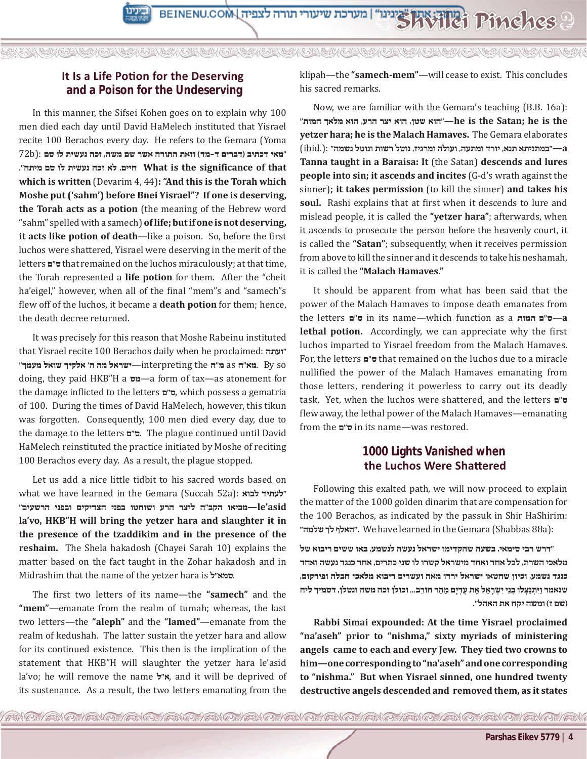## **It Is a Life Potion for the Deserving and a Poison for the Undeserving**

In this manner, the Sifsei Kohen goes on to explain why 100 men died each day until David HaMelech instituted that Yisrael recite 100 Berachos every day. He refers to the Gemara (Yoma **"מאי דכתיב )דברים ד-מד( וזאת התורה אשר שם משה, זכה נעשית לו סם** :(b72  **that of significance the is What חיים, לא זכה נעשית לו סם מיתה". which is written** (Devarim 4, 44)**: "And this is the Torah which Moshe put ('sahm') before Bnei Yisrael"? If one is deserving, the Torah acts as a potion** (the meaning of the Hebrew word "sahm" spelled with a samech) **of life; but if one is not deserving, it acts like potion of death**—like a poison. So, before the first luchos were shattered, Yisrael were deserving in the merit of the letters **ם"ס** that remained on the luchos miraculously; at that time, the Torah represented a **life potion** for them. After the "cheit ha'eigel," however, when all of the final "mem"s and "samech"s flew off of the luchos, it became a **death potion** for them; hence, the death decree returned.

It was precisely for this reason that Moshe Rabeinu instituted that Yisrael recite 100 Berachos daily when he proclaimed: **ועתה"** so By .**מא"ה** as **מ"ה** the interpreting—**ישראל מה ה' אלקיך שואל מעמך"** doing, they paid HKB"H a **מס**—a form of tax—as atonement for the damage inflicted to the letters **ם"ס**, which possess a gematria of 100. During the times of David HaMelech, however, this tikun was forgotten. Consequently, 100 men died every day, due to the damage to the letters **ם"ס**. The plague continued until David HaMelech reinstituted the practice initiated by Moshe of reciting 100 Berachos every day. As a result, the plague stopped.

Let us add a nice little tidbit to his sacred words based on what we have learned in the Gemara (Succah 52a): **לבוא לעתיד" asid'le—מביאו הקב"ה ליצר הרע ושוחטו בפני הצדיקים ובפני הרשעים" la'vo, HKB"H will bring the yetzer hara and slaughter it in the presence of the tzaddikim and in the presence of the reshaim.** The Shela hakadosh (Chayei Sarah 10) explains the matter based on the fact taught in the Zohar hakadosh and in Midrashim that the name of the yetzer hara is **ל"סמא**.

The first two letters of its name—the **"samech"** and the **"mem"**—emanate from the realm of tumah; whereas, the last two letters—the **"aleph"** and the **"lamed"**—emanate from the realm of kedushah. The latter sustain the yetzer hara and allow for its continued existence. This then is the implication of the statement that HKB"H will slaughter the yetzer hara le'asid la'vo; he will remove the name **ל"א**, and it will be deprived of its sustenance. As a result, the two letters emanating from the

klipah—the **"samech-mem"**—will cease to exist. This concludes his sacred remarks.

Now, we are familiar with the Gemara's teaching (B.B. 16a):  **the is he; Satan the is he"—הוא שטן, הוא יצר הרע, הוא מלאך המות" yetzer hara; he is the Malach Hamaves.** The Gemara elaborates  **a"—במתניתא תנא, יורד ומתעה, ועולה ומרגיז, נוטל רשות ונוטל נשמה"** :(.ibid( **Tanna taught in a Baraisa: It** (the Satan) **descends and lures people into sin; it ascends and incites** (G-d's wrath against the sinner)**; it takes permission** (to kill the sinner) **and takes his soul.** Rashi explains that at first when it descends to lure and mislead people, it is called the **"yetzer hara"**; afterwards, when it ascends to prosecute the person before the heavenly court, it is called the **"Satan"**; subsequently, when it receives permission from above to kill the sinner and it descends to take his neshamah, it is called the **"Malach Hamaves."** 

It should be apparent from what has been said that the power of the Malach Hamaves to impose death emanates from the letters **ם"ס** in its name—which function as a **המות ם"ס—a lethal potion.** Accordingly, we can appreciate why the first luchos imparted to Yisrael freedom from the Malach Hamaves. For, the letters **ם"ס** that remained on the luchos due to a miracle nullified the power of the Malach Hamaves emanating from those letters, rendering it powerless to carry out its deadly task. Yet, when the luchos were shattered, and the letters **ם"ס** flew away, the lethal power of the Malach Hamaves—emanating from the **ם"ס** in its name—was restored.

### **1000 Lights Vanished when the Luchos Were Shattered**

Following this exalted path, we will now proceed to explain the matter of the 1000 golden dinarim that are compensation for the 100 Berachos, as indicated by the passuk in Shir HaShirim: **"שלמה לך האלף".** We have learned in the Gemara (Shabbas 88a):

**"דרש רבי סימאי, בשעה שהקדימו ישראל נעשה לנשמע, באו ששים ריבוא של מלאכי השרת, לכל אחד ואחד מישראל קשרו לו שני כתרים, אחד כנגד נעשה ואחד כנגד נשמע, וכיון שחטאו ישראל ירדו מאה ועשרים ריבוא מלאכי חבלה ופירקום, שנאמר וַּיִתְ נַּצְ לּו בְ נֵי יִׂשְ רָ אֵ ל אֶ ת עֶ דְ יָם מֵ הַ ר חֹורֵ ב... וכולן זכה משה ונטלן, דסמיך ליה )שם ז( ומשה יקח את האהל".**

**Rabbi Simai expounded: At the time Yisrael proclaimed "na'aseh" prior to "nishma," sixty myriads of ministering angels came to each and every Jew. They tied two crowns to him—one corresponding to "na'aseh" and one corresponding to "nishma." But when Yisrael sinned, one hundred twenty destructive angels descended and removed them, as it states**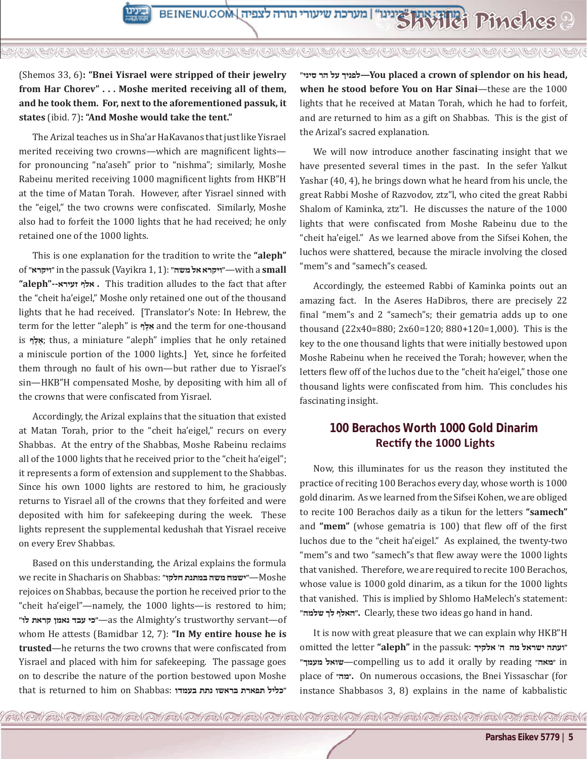A RESIDENCE A CONFORMATION OF A CONFORMATION OF A CONFORMATION OF A CONFORMATION OF A CONFORMATION OF A

#### (Shemos 33, 6)**: "Bnei Yisrael were stripped of their jewelry from Har Chorev" . . . Moshe merited receiving all of them, and he took them. For, next to the aforementioned passuk, it states** (ibid. 7)**: "And Moshe would take the tent."**

The Arizal teaches us in Sha'ar HaKavanos that just like Yisrael merited receiving two crowns—which are magnificent lights for pronouncing "na'aseh" prior to "nishma"; similarly, Moshe Rabeinu merited receiving 1000 magnificent lights from HKB"H at the time of Matan Torah. However, after Yisrael sinned with the "eigel," the two crowns were confiscated. Similarly, Moshe also had to forfeit the 1000 lights that he had received; he only retained one of the 1000 lights.

This is one explanation for the tradition to write the **"aleph"**  of **"ויקרא "**in the passuk (Vayikra 1, 1): **"משה אל ויקרא**—**"**with a **small "aleph"--זעירא אלף .** This tradition alludes to the fact that after the "cheit ha'eigel," Moshe only retained one out of the thousand lights that he had received. [Translator's Note: In Hebrew, the term for the letter "aleph" is **ף ֶאלַ** and the term for one-thousand is אֵלֵף; thus, a miniature "aleph" implies that he only retained a miniscule portion of the 1000 lights.] Yet, since he forfeited them through no fault of his own—but rather due to Yisrael's sin—HKB"H compensated Moshe, by depositing with him all of the crowns that were confiscated from Yisrael.

Accordingly, the Arizal explains that the situation that existed at Matan Torah, prior to the "cheit ha'eigel," recurs on every Shabbas. At the entry of the Shabbas, Moshe Rabeinu reclaims all of the 1000 lights that he received prior to the "cheit ha'eigel"; it represents a form of extension and supplement to the Shabbas. Since his own 1000 lights are restored to him, he graciously returns to Yisrael all of the crowns that they forfeited and were deposited with him for safekeeping during the week. These lights represent the supplemental kedushah that Yisrael receive on every Erev Shabbas.

Based on this understanding, the Arizal explains the formula we recite in Shacharis on Shabbas: **"חלקו במתנת משה ישמח**—**"**Moshe rejoices on Shabbas, because the portion he received prior to the "cheit ha'eigel"—namely, the 1000 lights—is restored to him; **"לו קראת נאמן עבד כי**—**"**as the Almighty's trustworthy servant—of whom He attests (Bamidbar 12, 7): **"In My entire house he is trusted**—he returns the two crowns that were confiscated from Yisrael and placed with him for safekeeping. The passage goes on to describe the nature of the portion bestowed upon Moshe that is returned to him on Shabbas: **בעמדו נתת בראשו תפארת כליל"**

**"סיני הר על לפניך—You placed a crown of splendor on his head, when he stood before You on Har Sinai**—these are the 1000 lights that he received at Matan Torah, which he had to forfeit, and are returned to him as a gift on Shabbas. This is the gist of the Arizal's sacred explanation.

We will now introduce another fascinating insight that we have presented several times in the past. In the sefer Yalkut Yashar (40, 4), he brings down what he heard from his uncle, the great Rabbi Moshe of Razvodov, ztz"l, who cited the great Rabbi Shalom of Kaminka, ztz"l. He discusses the nature of the 1000 lights that were confiscated from Moshe Rabeinu due to the "cheit ha'eigel." As we learned above from the Sifsei Kohen, the luchos were shattered, because the miracle involving the closed "mem"s and "samech"s ceased.

Accordingly, the esteemed Rabbi of Kaminka points out an amazing fact. In the Aseres HaDibros, there are precisely 22 final "mem"s and 2 "samech"s; their gematria adds up to one thousand (22x40=880; 2x60=120; 880+120=1,000). This is the key to the one thousand lights that were initially bestowed upon Moshe Rabeinu when he received the Torah; however, when the letters flew off of the luchos due to the "cheit ha'eigel," those one thousand lights were confiscated from him. This concludes his fascinating insight.

## **100 Berachos Worth 1000 Gold Dinarim Rectify the 1000 Lights**

Now, this illuminates for us the reason they instituted the practice of reciting 100 Berachos every day, whose worth is 1000 gold dinarim. As we learned from the Sifsei Kohen, we are obliged to recite 100 Berachos daily as a tikun for the letters **"samech"**  and **"mem"** (whose gematria is 100) that flew off of the first luchos due to the "cheit ha'eigel." As explained, the twenty-two "mem"s and two "samech"s that flew away were the 1000 lights that vanished. Therefore, we are required to recite 100 Berachos, whose value is 1000 gold dinarim, as a tikun for the 1000 lights that vanished. This is implied by Shlomo HaMelech's statement: **"שלמה לך האלף".** Clearly, these two ideas go hand in hand.

It is now with great pleasure that we can explain why HKB"H omitted the letter **"aleph"** in the passuk: **אלקיך' ה מה ישראל ועתה" "מעמך שואל**—compelling us to add it orally by reading **״מאה״** in place of **״מה״.** On numerous occasions, the Bnei Yissaschar (for instance Shabbasos 3, 8) explains in the name of kabbalistic